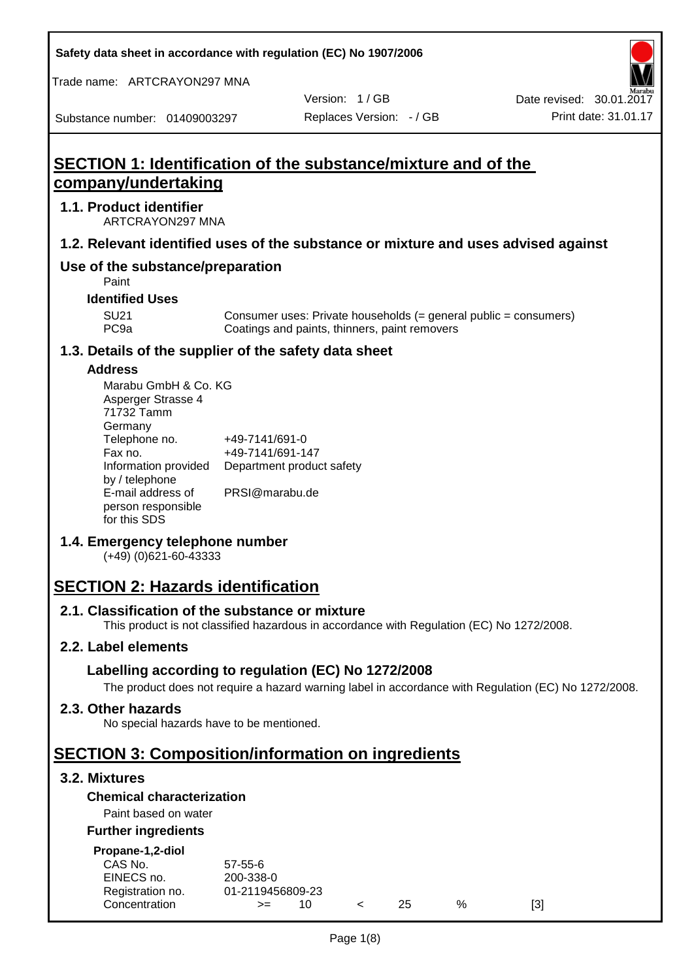**Safety data sheet in accordance with regulation (EC) No 1907/2006**

Trade name: ARTCRAYON297 MNA

Version: 1 / GB

Substance number: 01409003297

# **SECTION 1: Identification of the substance/mixture and of the company/undertaking**

## **1.1. Product identifier**

ARTCRAYON297 MNA

## **1.2. Relevant identified uses of the substance or mixture and uses advised against**

# **Use of the substance/preparation**

Paint

#### **Identified Uses**

SU21 Consumer uses: Private households (= general public = consumers)<br>PC9a Coatings and paints, thinners, paint removers Coatings and paints, thinners, paint removers

#### **1.3. Details of the supplier of the safety data sheet**

#### **Address**

| Marabu GmbH & Co. KG |                           |
|----------------------|---------------------------|
| Asperger Strasse 4   |                           |
| 71732 Tamm           |                           |
| Germany              |                           |
| Telephone no.        | +49-7141/691-0            |
| Fax no.              | +49-7141/691-147          |
| Information provided | Department product safety |
| by / telephone       |                           |
| E-mail address of    | PRSI@marabu.de            |
| person responsible   |                           |
| for this SDS         |                           |

## **1.4. Emergency telephone number**

(+49) (0)621-60-43333

# **SECTION 2: Hazards identification**

#### **2.1. Classification of the substance or mixture**

This product is not classified hazardous in accordance with Regulation (EC) No 1272/2008.

## **2.2. Label elements**

## **Labelling according to regulation (EC) No 1272/2008**

The product does not require a hazard warning label in accordance with Regulation (EC) No 1272/2008.

#### **2.3. Other hazards**

No special hazards have to be mentioned.

# **SECTION 3: Composition/information on ingredients**

## **3.2. Mixtures**

## **Chemical characterization**

## Paint based on water

#### **Further ingredients**

| Propane-1,2-diol |  |
|------------------|--|
|                  |  |

| CAS No.          | $57 - 55 - 6$    |  |     |   |     |
|------------------|------------------|--|-----|---|-----|
| EINECS no.       | 200-338-0        |  |     |   |     |
| Registration no. | 01-2119456809-23 |  |     |   |     |
| Concentration    | $>=$             |  | 25. | % | [3] |
|                  |                  |  |     |   |     |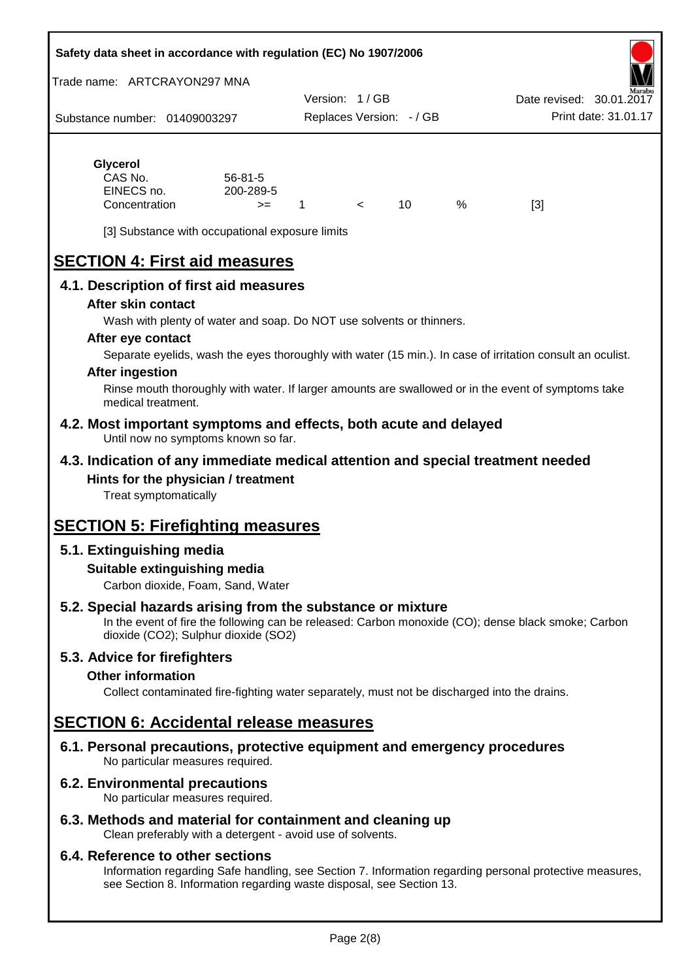#### **Safety data sheet in accordance with regulation (EC) No 1907/2006**

Trade name: ARTCRAYON297 MNA

Substance number: 01409003297 Version: 1 / GB Replaces Version: - / GB Print date: 31.01.17 Date revised: 30.01.2

# **Glycerol**

| CAS No.       | $56 - 81 - 5$ |  |   |     |
|---------------|---------------|--|---|-----|
| EINECS no.    | 200-289-5     |  |   |     |
| Concentration | >=            |  | % | [3] |

[3] Substance with occupational exposure limits

# **SECTION 4: First aid measures**

## **4.1. Description of first aid measures**

#### **After skin contact**

Wash with plenty of water and soap. Do NOT use solvents or thinners.

#### **After eye contact**

Separate eyelids, wash the eyes thoroughly with water (15 min.). In case of irritation consult an oculist.

#### **After ingestion**

Rinse mouth thoroughly with water. If larger amounts are swallowed or in the event of symptoms take medical treatment.

#### **4.2. Most important symptoms and effects, both acute and delayed** Until now no symptoms known so far.

## **4.3. Indication of any immediate medical attention and special treatment needed Hints for the physician / treatment**

Treat symptomatically

# **SECTION 5: Firefighting measures**

# **5.1. Extinguishing media**

## **Suitable extinguishing media**

Carbon dioxide, Foam, Sand, Water

# **5.2. Special hazards arising from the substance or mixture**

In the event of fire the following can be released: Carbon monoxide (CO); dense black smoke; Carbon dioxide (CO2); Sulphur dioxide (SO2)

## **5.3. Advice for firefighters**

## **Other information**

Collect contaminated fire-fighting water separately, must not be discharged into the drains.

# **SECTION 6: Accidental release measures**

**6.1. Personal precautions, protective equipment and emergency procedures** No particular measures required.

## **6.2. Environmental precautions**

No particular measures required.

## **6.3. Methods and material for containment and cleaning up**

Clean preferably with a detergent - avoid use of solvents.

#### **6.4. Reference to other sections**

Information regarding Safe handling, see Section 7. Information regarding personal protective measures, see Section 8. Information regarding waste disposal, see Section 13.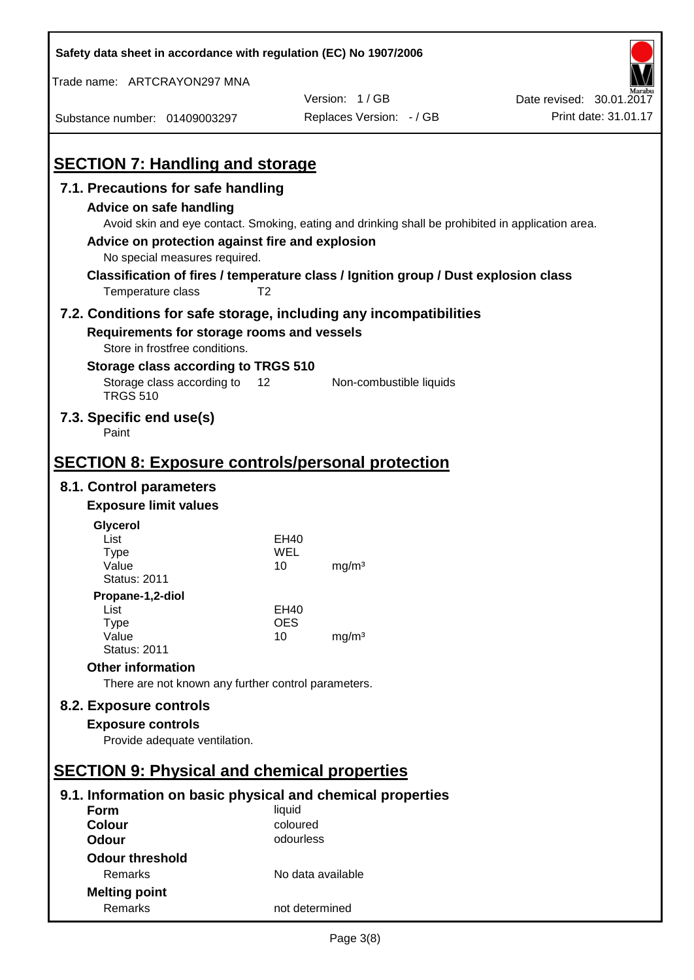| Safety data sheet in accordance with regulation (EC) No 1907/2006                                                                                                             |                   |                                                                                                                                                                                          |                          |
|-------------------------------------------------------------------------------------------------------------------------------------------------------------------------------|-------------------|------------------------------------------------------------------------------------------------------------------------------------------------------------------------------------------|--------------------------|
| Trade name: ARTCRAYON297 MNA                                                                                                                                                  |                   |                                                                                                                                                                                          |                          |
|                                                                                                                                                                               |                   | Version: 1/GB                                                                                                                                                                            | Date revised: 30.01.2017 |
| Substance number: 01409003297                                                                                                                                                 |                   | Replaces Version: - / GB                                                                                                                                                                 | Print date: 31.01.17     |
| <b>SECTION 7: Handling and storage</b>                                                                                                                                        |                   |                                                                                                                                                                                          |                          |
| 7.1. Precautions for safe handling<br><b>Advice on safe handling</b><br>Advice on protection against fire and explosion<br>No special measures required.<br>Temperature class | T <sub>2</sub>    | Avoid skin and eye contact. Smoking, eating and drinking shall be prohibited in application area.<br>Classification of fires / temperature class / Ignition group / Dust explosion class |                          |
| 7.2. Conditions for safe storage, including any incompatibilities<br>Requirements for storage rooms and vessels<br>Store in frostfree conditions.                             |                   |                                                                                                                                                                                          |                          |
| Storage class according to TRGS 510<br>Storage class according to 12<br><b>TRGS 510</b>                                                                                       |                   | Non-combustible liquids                                                                                                                                                                  |                          |
| 7.3. Specific end use(s)<br>Paint                                                                                                                                             |                   |                                                                                                                                                                                          |                          |
| <b>SECTION 8: Exposure controls/personal protection</b>                                                                                                                       |                   |                                                                                                                                                                                          |                          |
| 8.1. Control parameters                                                                                                                                                       |                   |                                                                                                                                                                                          |                          |
| <b>Exposure limit values</b>                                                                                                                                                  |                   |                                                                                                                                                                                          |                          |
| Glycerol                                                                                                                                                                      |                   |                                                                                                                                                                                          |                          |
| List                                                                                                                                                                          | EH40<br>WEL       |                                                                                                                                                                                          |                          |
| <b>Type</b><br>Value                                                                                                                                                          | 10                | mg/m <sup>3</sup>                                                                                                                                                                        |                          |
| <b>Status: 2011</b>                                                                                                                                                           |                   |                                                                                                                                                                                          |                          |
| Propane-1,2-diol                                                                                                                                                              |                   |                                                                                                                                                                                          |                          |
| List                                                                                                                                                                          | <b>EH40</b>       |                                                                                                                                                                                          |                          |
| <b>Type</b><br>Value                                                                                                                                                          | <b>OES</b><br>10  | mg/m <sup>3</sup>                                                                                                                                                                        |                          |
| <b>Status: 2011</b>                                                                                                                                                           |                   |                                                                                                                                                                                          |                          |
| <b>Other information</b>                                                                                                                                                      |                   |                                                                                                                                                                                          |                          |
| There are not known any further control parameters.                                                                                                                           |                   |                                                                                                                                                                                          |                          |
| 8.2. Exposure controls                                                                                                                                                        |                   |                                                                                                                                                                                          |                          |
| <b>Exposure controls</b><br>Provide adequate ventilation.                                                                                                                     |                   |                                                                                                                                                                                          |                          |
| <b>SECTION 9: Physical and chemical properties</b>                                                                                                                            |                   |                                                                                                                                                                                          |                          |
| 9.1. Information on basic physical and chemical properties                                                                                                                    |                   |                                                                                                                                                                                          |                          |
| <b>Form</b>                                                                                                                                                                   | liquid            |                                                                                                                                                                                          |                          |
| <b>Colour</b>                                                                                                                                                                 | coloured          |                                                                                                                                                                                          |                          |
| <b>Odour</b>                                                                                                                                                                  | odourless         |                                                                                                                                                                                          |                          |
| <b>Odour threshold</b>                                                                                                                                                        |                   |                                                                                                                                                                                          |                          |
| Remarks                                                                                                                                                                       | No data available |                                                                                                                                                                                          |                          |
| <b>Melting point</b>                                                                                                                                                          |                   |                                                                                                                                                                                          |                          |
| Remarks                                                                                                                                                                       | not determined    |                                                                                                                                                                                          |                          |

 $\mathbf{r}$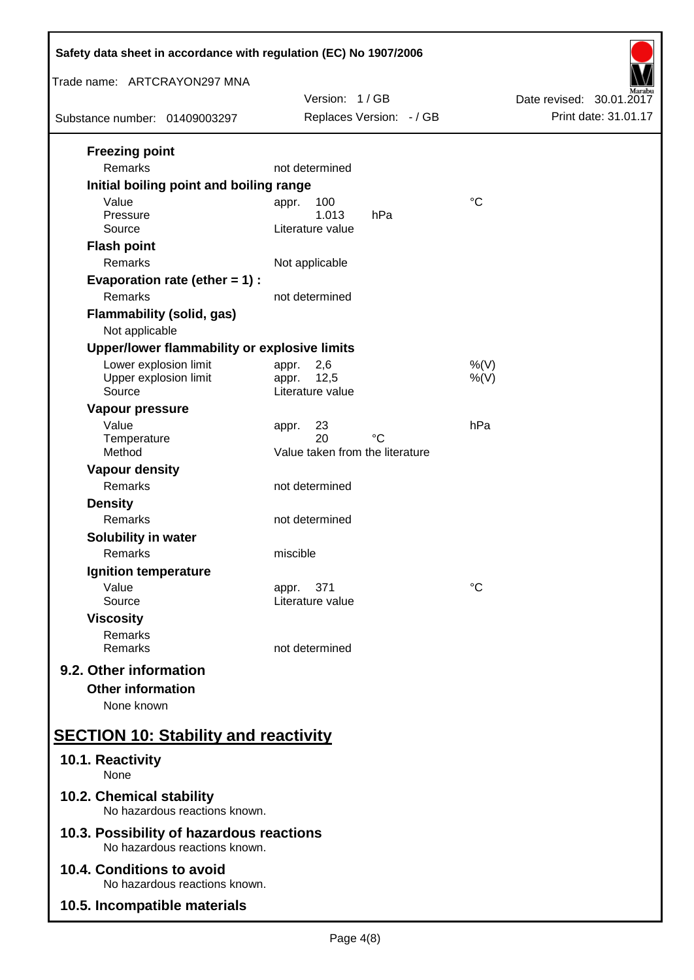| Safety data sheet in accordance with regulation (EC) No 1907/2006                                                           |                                                                    |                          |  |  |
|-----------------------------------------------------------------------------------------------------------------------------|--------------------------------------------------------------------|--------------------------|--|--|
| Trade name: ARTCRAYON297 MNA                                                                                                | Version: 1/GB                                                      | Date revised: 30.01.2017 |  |  |
| Substance number: 01409003297                                                                                               | Replaces Version: - / GB                                           | Print date: 31.01.17     |  |  |
| <b>Freezing point</b><br>Remarks<br>Initial boiling point and boiling range                                                 | not determined                                                     |                          |  |  |
| Value<br>Pressure<br>Source<br><b>Flash point</b><br>Remarks                                                                | 100<br>appr.<br>1.013<br>hPa<br>Literature value<br>Not applicable | $^{\circ}C$              |  |  |
| Evaporation rate (ether $= 1$ ) :<br>Remarks<br><b>Flammability (solid, gas)</b><br>Not applicable                          | not determined                                                     |                          |  |  |
| Upper/lower flammability or explosive limits<br>Lower explosion limit<br>Upper explosion limit<br>Source<br>Vapour pressure | 2,6<br>appr.<br>12,5<br>appr.<br>Literature value                  | $%$ (V)<br>$%$ (V)       |  |  |
| Value<br>Temperature<br>Method                                                                                              | 23<br>appr.<br>20<br>°C<br>Value taken from the literature         | hPa                      |  |  |
| <b>Vapour density</b><br>Remarks<br><b>Density</b><br>Remarks                                                               | not determined<br>not determined                                   |                          |  |  |
| <b>Solubility in water</b><br>Remarks<br>Ignition temperature                                                               | miscible                                                           |                          |  |  |
| Value<br>Source<br><b>Viscosity</b><br>Remarks                                                                              | 371<br>appr.<br>Literature value                                   | $^{\circ}C$              |  |  |
| Remarks<br>9.2. Other information<br><b>Other information</b><br>None known                                                 | not determined                                                     |                          |  |  |
| <b>SECTION 10: Stability and reactivity</b>                                                                                 |                                                                    |                          |  |  |
| 10.1. Reactivity<br>None                                                                                                    |                                                                    |                          |  |  |
| 10.2. Chemical stability<br>No hazardous reactions known.                                                                   |                                                                    |                          |  |  |
| 10.3. Possibility of hazardous reactions<br>No hazardous reactions known.                                                   |                                                                    |                          |  |  |
| 10.4. Conditions to avoid<br>No hazardous reactions known.                                                                  |                                                                    |                          |  |  |
| 10.5. Incompatible materials                                                                                                |                                                                    |                          |  |  |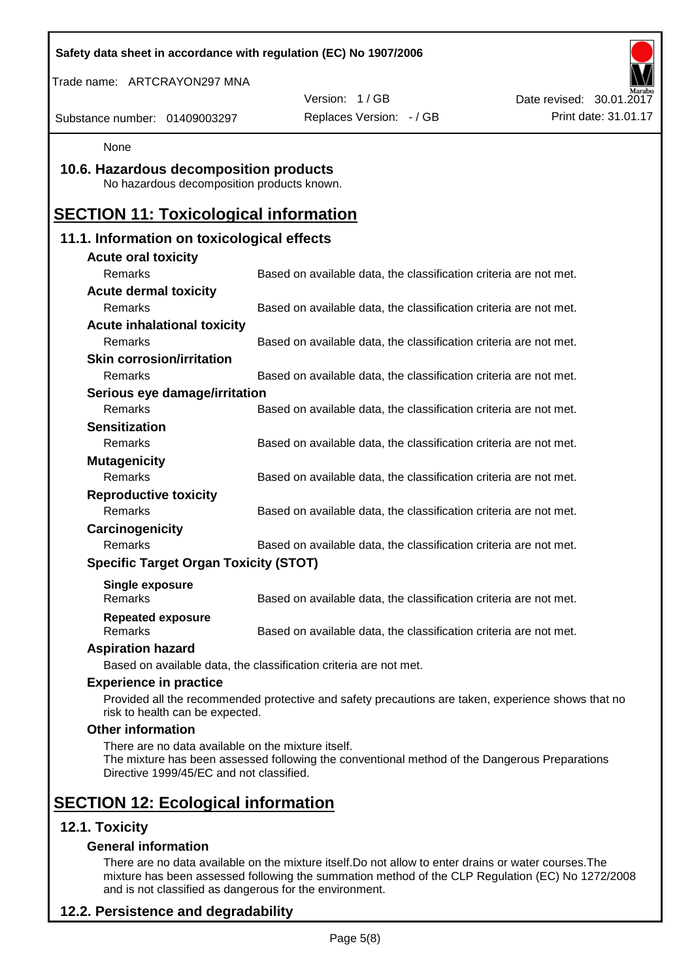|                                                                                                | Safety data sheet in accordance with regulation (EC) No 1907/2006                                  |                          |
|------------------------------------------------------------------------------------------------|----------------------------------------------------------------------------------------------------|--------------------------|
| Trade name: ARTCRAYON297 MNA                                                                   |                                                                                                    |                          |
|                                                                                                | Version: 1/GB                                                                                      | Date revised: 30.01.2017 |
| Substance number: 01409003297                                                                  | Replaces Version: - / GB                                                                           | Print date: 31.01.17     |
| None                                                                                           |                                                                                                    |                          |
| 10.6. Hazardous decomposition products<br>No hazardous decomposition products known.           |                                                                                                    |                          |
| <b>SECTION 11: Toxicological information</b>                                                   |                                                                                                    |                          |
| 11.1. Information on toxicological effects                                                     |                                                                                                    |                          |
| <b>Acute oral toxicity</b>                                                                     |                                                                                                    |                          |
| Remarks                                                                                        | Based on available data, the classification criteria are not met.                                  |                          |
| <b>Acute dermal toxicity</b>                                                                   |                                                                                                    |                          |
| Remarks                                                                                        | Based on available data, the classification criteria are not met.                                  |                          |
| <b>Acute inhalational toxicity</b>                                                             |                                                                                                    |                          |
| Remarks                                                                                        | Based on available data, the classification criteria are not met.                                  |                          |
| <b>Skin corrosion/irritation</b>                                                               |                                                                                                    |                          |
| Remarks                                                                                        | Based on available data, the classification criteria are not met.                                  |                          |
| Serious eye damage/irritation                                                                  |                                                                                                    |                          |
| Remarks                                                                                        | Based on available data, the classification criteria are not met.                                  |                          |
| <b>Sensitization</b>                                                                           |                                                                                                    |                          |
| Remarks                                                                                        | Based on available data, the classification criteria are not met.                                  |                          |
| <b>Mutagenicity</b>                                                                            |                                                                                                    |                          |
| Remarks                                                                                        | Based on available data, the classification criteria are not met.                                  |                          |
| <b>Reproductive toxicity</b><br>Remarks                                                        |                                                                                                    |                          |
|                                                                                                | Based on available data, the classification criteria are not met.                                  |                          |
| Carcinogenicity<br>Remarks                                                                     | Based on available data, the classification criteria are not met.                                  |                          |
| <b>Specific Target Organ Toxicity (STOT)</b>                                                   |                                                                                                    |                          |
|                                                                                                |                                                                                                    |                          |
| <b>Single exposure</b><br>Remarks                                                              | Based on available data, the classification criteria are not met.                                  |                          |
| <b>Repeated exposure</b><br>Remarks                                                            | Based on available data, the classification criteria are not met.                                  |                          |
| <b>Aspiration hazard</b>                                                                       |                                                                                                    |                          |
|                                                                                                | Based on available data, the classification criteria are not met.                                  |                          |
| <b>Experience in practice</b>                                                                  |                                                                                                    |                          |
| risk to health can be expected.                                                                | Provided all the recommended protective and safety precautions are taken, experience shows that no |                          |
| <b>Other information</b>                                                                       |                                                                                                    |                          |
| There are no data available on the mixture itself.<br>Directive 1999/45/EC and not classified. | The mixture has been assessed following the conventional method of the Dangerous Preparations      |                          |
| <b>SECTION 12: Ecological information</b>                                                      |                                                                                                    |                          |
| 12.1. Toxicity                                                                                 |                                                                                                    |                          |
| <b>General information</b>                                                                     |                                                                                                    |                          |

There are no data available on the mixture itself.Do not allow to enter drains or water courses.The mixture has been assessed following the summation method of the CLP Regulation (EC) No 1272/2008 and is not classified as dangerous for the environment.

# **12.2. Persistence and degradability**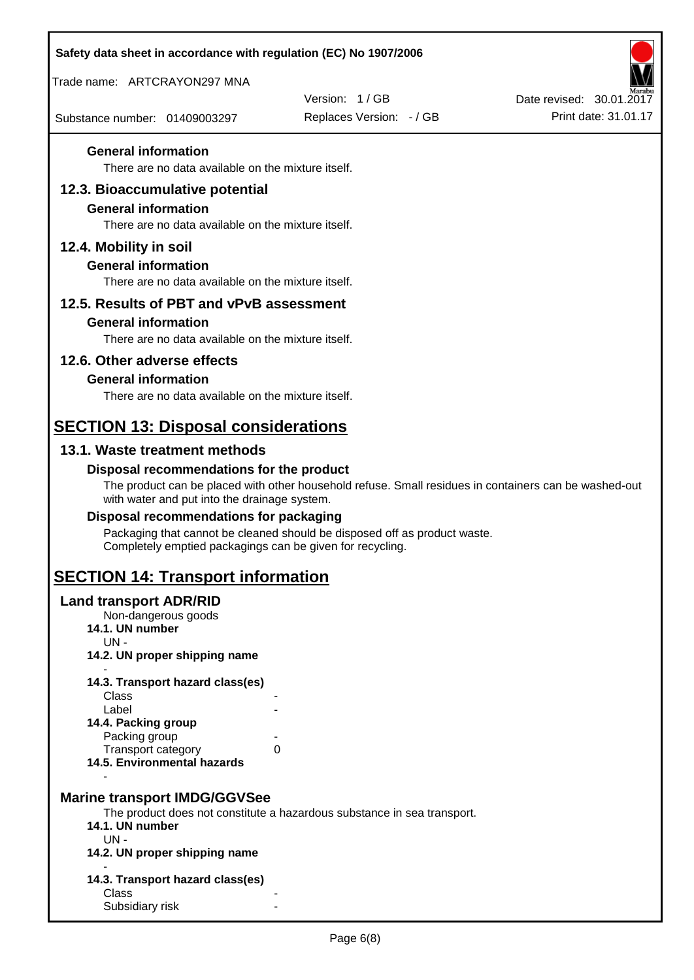| Safety data sheet in accordance with regulation (EC) No 1907/2006 |                                                                                                       |                                                  |
|-------------------------------------------------------------------|-------------------------------------------------------------------------------------------------------|--------------------------------------------------|
| Trade name: ARTCRAYON297 MNA                                      |                                                                                                       |                                                  |
| Substance number: 01409003297                                     | Version: 1/GB<br>Replaces Version: - / GB                                                             | Date revised: 30.01.2017<br>Print date: 31.01.17 |
|                                                                   |                                                                                                       |                                                  |
| <b>General information</b>                                        |                                                                                                       |                                                  |
| There are no data available on the mixture itself.                |                                                                                                       |                                                  |
| 12.3. Bioaccumulative potential<br><b>General information</b>     |                                                                                                       |                                                  |
| There are no data available on the mixture itself.                |                                                                                                       |                                                  |
| 12.4. Mobility in soil                                            |                                                                                                       |                                                  |
| <b>General information</b>                                        |                                                                                                       |                                                  |
| There are no data available on the mixture itself.                |                                                                                                       |                                                  |
| 12.5. Results of PBT and vPvB assessment                          |                                                                                                       |                                                  |
| <b>General information</b>                                        |                                                                                                       |                                                  |
| There are no data available on the mixture itself.                |                                                                                                       |                                                  |
| 12.6. Other adverse effects<br><b>General information</b>         |                                                                                                       |                                                  |
| There are no data available on the mixture itself.                |                                                                                                       |                                                  |
|                                                                   |                                                                                                       |                                                  |
| <b>SECTION 13: Disposal considerations</b>                        |                                                                                                       |                                                  |
| 13.1. Waste treatment methods                                     |                                                                                                       |                                                  |
| Disposal recommendations for the product                          | The product can be placed with other household refuse. Small residues in containers can be washed-out |                                                  |
| with water and put into the drainage system.                      |                                                                                                       |                                                  |
| Disposal recommendations for packaging                            |                                                                                                       |                                                  |
| Completely emptied packagings can be given for recycling.         | Packaging that cannot be cleaned should be disposed off as product waste.                             |                                                  |
| <b>SECTION 14: Transport information</b>                          |                                                                                                       |                                                  |
| <b>Land transport ADR/RID</b>                                     |                                                                                                       |                                                  |
| Non-dangerous goods<br>14.1. UN number                            |                                                                                                       |                                                  |
| $UN -$                                                            |                                                                                                       |                                                  |
| 14.2. UN proper shipping name                                     |                                                                                                       |                                                  |
| 14.3. Transport hazard class(es)<br>Class                         |                                                                                                       |                                                  |
| Label                                                             |                                                                                                       |                                                  |
| 14.4. Packing group<br>Packing group                              |                                                                                                       |                                                  |
| Transport category                                                | 0                                                                                                     |                                                  |
| 14.5. Environmental hazards                                       |                                                                                                       |                                                  |
| <b>Marine transport IMDG/GGVSee</b>                               |                                                                                                       |                                                  |
|                                                                   | The product does not constitute a hazardous substance in sea transport.                               |                                                  |
| 14.1. UN number<br>$UN -$                                         |                                                                                                       |                                                  |
| 14.2. UN proper shipping name                                     |                                                                                                       |                                                  |
| 14.3. Transport hazard class(es)                                  |                                                                                                       |                                                  |
| Class                                                             |                                                                                                       |                                                  |
| Subsidiary risk                                                   |                                                                                                       |                                                  |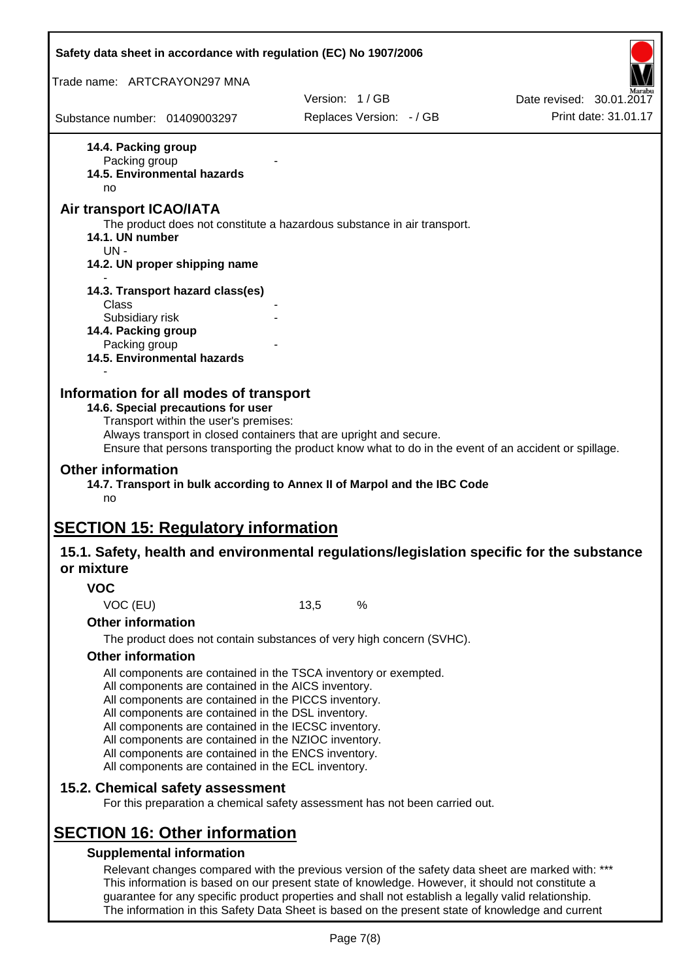|                                                      | Safety data sheet in accordance with regulation (EC) No 1907/2006                                            |      |                                                                                                     |                                                                                                       |
|------------------------------------------------------|--------------------------------------------------------------------------------------------------------------|------|-----------------------------------------------------------------------------------------------------|-------------------------------------------------------------------------------------------------------|
| Trade name: ARTCRAYON297 MNA                         |                                                                                                              |      |                                                                                                     |                                                                                                       |
|                                                      |                                                                                                              |      | Version: 1/GB                                                                                       | Date revised: 30.01.2017                                                                              |
| Substance number: 01409003297                        |                                                                                                              |      | Replaces Version: - / GB                                                                            | Print date: 31.01.17                                                                                  |
| 14.4. Packing group                                  |                                                                                                              |      |                                                                                                     |                                                                                                       |
| Packing group                                        | 14.5. Environmental hazards                                                                                  |      |                                                                                                     |                                                                                                       |
| no                                                   |                                                                                                              |      |                                                                                                     |                                                                                                       |
| <b>Air transport ICAO/IATA</b>                       |                                                                                                              |      |                                                                                                     |                                                                                                       |
|                                                      |                                                                                                              |      | The product does not constitute a hazardous substance in air transport.                             |                                                                                                       |
| 14.1. UN number<br>UN-                               |                                                                                                              |      |                                                                                                     |                                                                                                       |
|                                                      | 14.2. UN proper shipping name                                                                                |      |                                                                                                     |                                                                                                       |
|                                                      | 14.3. Transport hazard class(es)                                                                             |      |                                                                                                     |                                                                                                       |
| Class                                                |                                                                                                              |      |                                                                                                     |                                                                                                       |
| Subsidiary risk                                      |                                                                                                              |      |                                                                                                     |                                                                                                       |
| 14.4. Packing group<br>Packing group                 |                                                                                                              |      |                                                                                                     |                                                                                                       |
|                                                      | 14.5. Environmental hazards                                                                                  |      |                                                                                                     |                                                                                                       |
|                                                      |                                                                                                              |      |                                                                                                     |                                                                                                       |
|                                                      | Information for all modes of transport<br>14.6. Special precautions for user                                 |      |                                                                                                     |                                                                                                       |
|                                                      | Transport within the user's premises:                                                                        |      |                                                                                                     |                                                                                                       |
|                                                      | Always transport in closed containers that are upright and secure.                                           |      |                                                                                                     |                                                                                                       |
|                                                      |                                                                                                              |      |                                                                                                     | Ensure that persons transporting the product know what to do in the event of an accident or spillage. |
| <b>Other information</b>                             |                                                                                                              |      | 14.7. Transport in bulk according to Annex II of Marpol and the IBC Code                            |                                                                                                       |
| no                                                   |                                                                                                              |      |                                                                                                     |                                                                                                       |
|                                                      |                                                                                                              |      |                                                                                                     |                                                                                                       |
|                                                      | <b>SECTION 15: Regulatory information</b>                                                                    |      |                                                                                                     |                                                                                                       |
| or mixture                                           |                                                                                                              |      |                                                                                                     | 15.1. Safety, health and environmental regulations/legislation specific for the substance             |
|                                                      |                                                                                                              |      |                                                                                                     |                                                                                                       |
| <b>VOC</b>                                           |                                                                                                              | 13,5 | %                                                                                                   |                                                                                                       |
| VOC (EU)<br><b>Other information</b>                 |                                                                                                              |      |                                                                                                     |                                                                                                       |
|                                                      |                                                                                                              |      | The product does not contain substances of very high concern (SVHC).                                |                                                                                                       |
| <b>Other information</b>                             |                                                                                                              |      |                                                                                                     |                                                                                                       |
|                                                      | All components are contained in the TSCA inventory or exempted.                                              |      |                                                                                                     |                                                                                                       |
|                                                      | All components are contained in the AICS inventory.                                                          |      |                                                                                                     |                                                                                                       |
| All components are contained in the PICCS inventory. |                                                                                                              |      |                                                                                                     |                                                                                                       |
|                                                      | All components are contained in the DSL inventory.                                                           |      |                                                                                                     |                                                                                                       |
|                                                      | All components are contained in the IECSC inventory.<br>All components are contained in the NZIOC inventory. |      |                                                                                                     |                                                                                                       |
|                                                      | All components are contained in the ENCS inventory.                                                          |      |                                                                                                     |                                                                                                       |
|                                                      | All components are contained in the ECL inventory.                                                           |      |                                                                                                     |                                                                                                       |
|                                                      | 15.2. Chemical safety assessment                                                                             |      |                                                                                                     |                                                                                                       |
|                                                      |                                                                                                              |      | For this preparation a chemical safety assessment has not been carried out.                         |                                                                                                       |
|                                                      |                                                                                                              |      |                                                                                                     |                                                                                                       |
|                                                      | <b>SECTION 16: Other information</b>                                                                         |      |                                                                                                     |                                                                                                       |
|                                                      | <b>Supplemental information</b>                                                                              |      |                                                                                                     |                                                                                                       |
|                                                      |                                                                                                              |      | This information is based on our present state of knowledge. However, it should not constitute a    | Relevant changes compared with the previous version of the safety data sheet are marked with: ***     |
|                                                      |                                                                                                              |      | guarantee for any specific product properties and shall not establish a legally valid relationship. |                                                                                                       |

The information in this Safety Data Sheet is based on the present state of knowledge and current